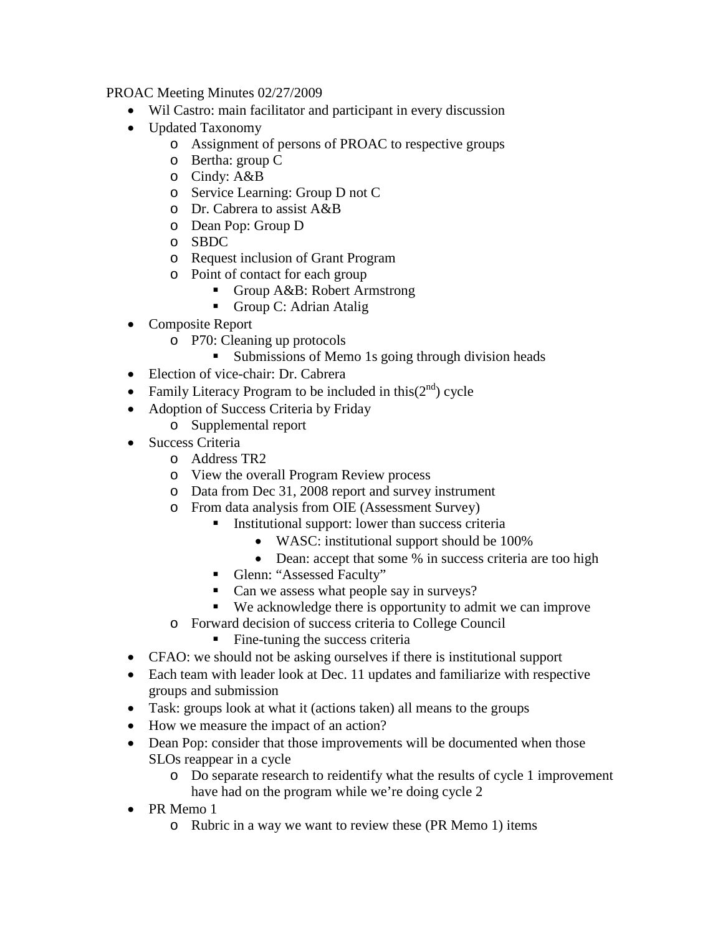PROAC Meeting Minutes 02/27/2009

- Wil Castro: main facilitator and participant in every discussion
- Updated Taxonomy
	- o Assignment of persons of PROAC to respective groups
	- o Bertha: group C
	- o Cindy: A&B
	- o Service Learning: Group D not C
	- o Dr. Cabrera to assist A&B
	- o Dean Pop: Group D
	- o SBDC
	- o Request inclusion of Grant Program
	- $\circ$  Point of contact for each group<br>  $\bullet$  Group A&B: Robert Ari
		- Group A&B: Robert Armstrong
		- Group C: Adrian Atalig
- Composite Report
	- o P70: Cleaning up protocols
		- **Submissions of Memo 1s going through division heads**
- Election of vice-chair: Dr. Cabrera
- Family Literacy Program to be included in this $(2^{nd})$  cycle
- Adoption of Success Criteria by Friday
	- o Supplemental report
- Success Criteria
	- o Address TR2
	- o View the overall Program Review process
	- o Data from Dec 31, 2008 report and survey instrument
	- o From data analysis from OIE (Assessment Survey)
		- Institutional support: lower than success criteria
			- WASC: institutional support should be 100%
			- Dean: accept that some % in success criteria are too high
		- Glenn: "Assessed Faculty"
		- Can we assess what people say in surveys?
		- We acknowledge there is opportunity to admit we can improve
	- o Forward decision of success criteria to College Council
		- Fine-tuning the success criteria
- CFAO: we should not be asking ourselves if there is institutional support
- Each team with leader look at Dec. 11 updates and familiarize with respective groups and submission
- Task: groups look at what it (actions taken) all means to the groups
- How we measure the impact of an action?
- Dean Pop: consider that those improvements will be documented when those SLOs reappear in a cycle
	- o Do separate research to reidentify what the results of cycle 1 improvement have had on the program while we're doing cycle 2
- PR Memo 1
	- o Rubric in a way we want to review these (PR Memo 1) items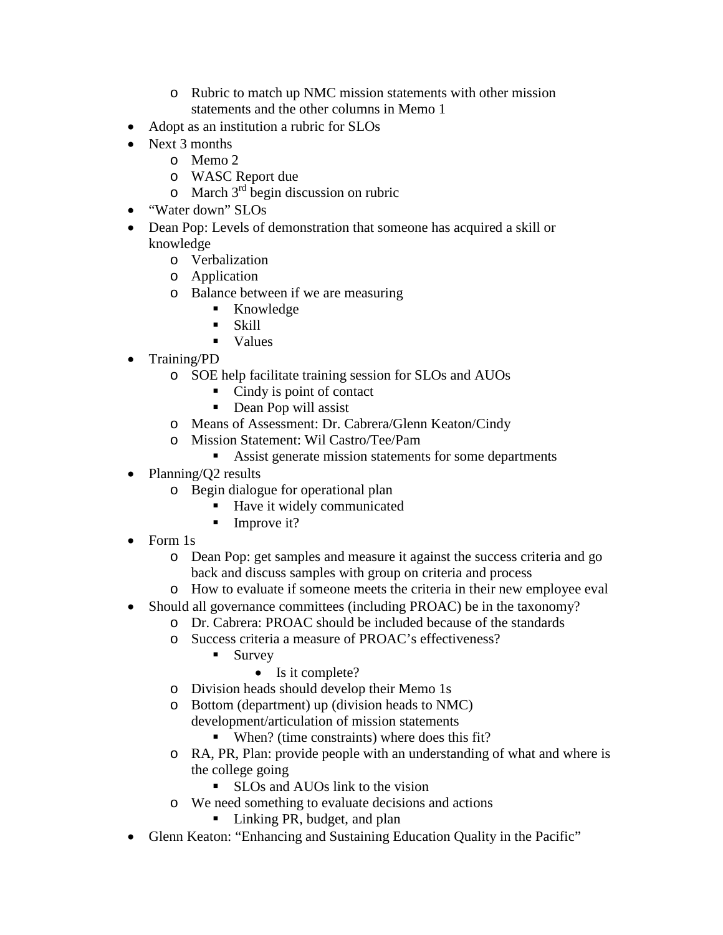- o Rubric to match up NMC mission statements with other mission statements and the other columns in Memo 1
- Adopt as an institution a rubric for SLOs
- Next 3 months
	- o Memo 2
	- o WASC Report due
	- $\circ$  March 3<sup>rd</sup> begin discussion on rubric
- "Water down" SLOs
- Dean Pop: Levels of demonstration that someone has acquired a skill or knowledge
	- o Verbalization
	- o Application
	- o Balance between if we are measuring
		- **Knowledge**
		- Skill
		- values
- Training/PD
	- o SOE help facilitate training session for SLOs and AUOs
		- Cindy is point of contact
		- Dean Pop will assist
	- o Means of Assessment: Dr. Cabrera/Glenn Keaton/Cindy
	- o Mission Statement: Wil Castro/Tee/Pam
		- Assist generate mission statements for some departments
- Planning/Q2 results
	- o Begin dialogue for operational plan
		- Have it widely communicated
		- $\blacksquare$  Improve it?
- Form 1s
	- o Dean Pop: get samples and measure it against the success criteria and go back and discuss samples with group on criteria and process
	- o How to evaluate if someone meets the criteria in their new employee eval
- Should all governance committees (including PROAC) be in the taxonomy?
	- o Dr. Cabrera: PROAC should be included because of the standards
	- o Success criteria a measure of PROAC's effectiveness?
		- $\blacksquare$  Survey
			- Is it complete?
	- o Division heads should develop their Memo 1s
	- o Bottom (department) up (division heads to NMC)
		- development/articulation of mission statements
			- When? (time constraints) where does this fit?
	- o RA, PR, Plan: provide people with an understanding of what and where is the college going
		- **SLOs and AUOs link to the vision**
	- o We need something to evaluate decisions and actions
		- Linking PR, budget, and plan
- Glenn Keaton: "Enhancing and Sustaining Education Quality in the Pacific"